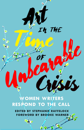

**EDITED BY STEPHANIE RAFFELOCK FOREWORD BY BROOKE WARNER**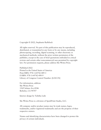Copyright © 2022, Stephanie Raffelock

All rights reserved. No part of this publication may be reproduced, distributed, or transmitted in any form or by any means, including photocopying, recording, digital scanning, or other electronic or mechanical methods, without the prior written permission of the publisher, except in the case of brief quotations embodied in critical reviews and certain other noncommercial uses permitted by copyright law. For permission requests, please address She Writes Press.

Published 2022 Printed in the United States of America Print ISBN: 978-1-64742-489-3 E-ISBN: 978-1-64742-490-9 Library of Congress Control Number: [LOCCN]

For information, address: She Writes Press 1569 Solano Ave #546 Berkeley, CA 94707

Interior design by Tabitha Lahr

She Writes Press is a division of SparkPoint Studio, LLC.

All company and/or product names may be trade names, logos, trademarks, and/or registered trademarks and are the property of their respective owners.

Names and identifying characteristics have been changed to protect the privacy of certain individuals.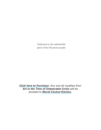Dedicated to the indomitable spirit of the Ukrainian people.

*Click [here to Purchase](https://shewritespress.com/product/art-in-the-time-of-unbearable-crisis/). Any and all royalties from Art in the Time of Unbearable Crisis will be donated to World [Central Kitchen](https://wck.org/relief/activation-chefs-for-ukraine).*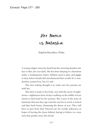*Excerpt: Page 277 - 280* 

## Her Name is Natasha

Sophia Kouidou-Giles

A young refugee raises her head from her morning slumber; her face is thin, her eyes dark. She has been sleeping in a basement under a kindergarten where children used to play and giggle in days before bombs fell and shuttered their world. It's a windowless cement box, but it's safe.

Her first waking thought is to make sure her parents are with her.

Her shirt is stuck to her body, wet with the sweat of nightmares—nightmares born of days walking on the rubble of torn streets to find food for her parents. She is part of the mass of humanity that just days ago took the city bus to work or school and then back home, dismissing the threat of war. They will have to part from their beloved city for worlds unknown, in hopes of leaving the chaos behind, daring to believe in a new start that pushes away this dread.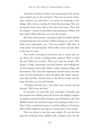Yesterday, the three of them were late getting to the tarmac and couldn't get on the transport. They do not know where their relatives are, and there is no point in returning to the village. Still, a bus is waiting for them this morning. They are among the lucky ones, able to flee their torn home. They will be refugees—a harsh word, filled with humiliation. Where will they settle? What will turn out to be their home?

She looks at her parents—an aging couple, her father already stooped from the years and her mother leaning on a cane. They look at her expectantly, say, "You are awake!" Still, there is some solace in knowing they will be able to lean on each other in the days to come.

The world is turning on television sets to watch and cry for them; the world is sending them support. Will it reach the city? Will it be on time? They can't wait any longer. The danger is high. Journalists wearing helmets and bulletproof vests broadcast scenes with soldiers, tanks, airplanes, flags, and devastation. They hear the explosions and the sirens, but they don't see the broadcasts or hear the pleas, the leader negotiations that fall flat. All they know is the horror inside and the hope that they can cross the border.

"Natasha, lead the way," her father says, already up and dressed. "We'll miss the bus!"

So recently—it seems like only yesterday—Natasha and her parents were talking about the Syrian and Afghan refugees escaping on precarious life transports, gray lifeboats in the cold Mediterranean Sea, wearing orange vests, hoping to make it to a shore. They contributed money to aid the millions of Yemenis, half of them children, starving in a remote part of the world.

They are about to earn the same stripes. It's not the first time the world has been saddled with a refugee crisis. On the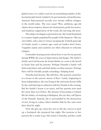global scene, it's a daily event for an astonishing number of dislocated people barely tended to by governments and politicians. Amnesty International records over twenty million refugees in the world today. The root cause? War, ambition, age-old claims about empires, desires for domination, grabs for power, and insidious suppression of the weak, the starving, the poor.

The subject of refugees is personal to me. My Greek homeland is a country largely populated by people of the diaspora—like my own father, who came to Greece escaping the Turkish genocide of Greeks nearly a century ago—and yet leaders don't learn. Tragedies repeat and countries are often reluctant to welcome refugees.

I remember hearing stories about how it was for my parents during WWII, the years of deprivation and danger. My father's family survived because he found shelter in a tent at the beach to house him and his parents. Perhaps Natasha's family will land somewhere safe and find shelter on their journey. Perhaps there will be friendly people extending a helping hand.

Natasha had dreams. She still does. Her parents raised her in a house in the narrow streets of Kiev. Lately, beginning to learn independence, she was living at the university lecture halls by day and loitering in cafeterias with her friends in the evening. But her family's house is no more, and her parents now need her more than ever before. She dreams of becoming a violinist like her father, of studying in Budapest, the city they call Queen of the Danube. Instead, she is surrounded by the destruction of war, living in a place where families hide by day and count their dead by night.

Now she gets up, raises her eyes to the sky, moves to pick up a backpack she prepared last night. She motions to her parents she is ready to go. Her name is Natasha, and her youth